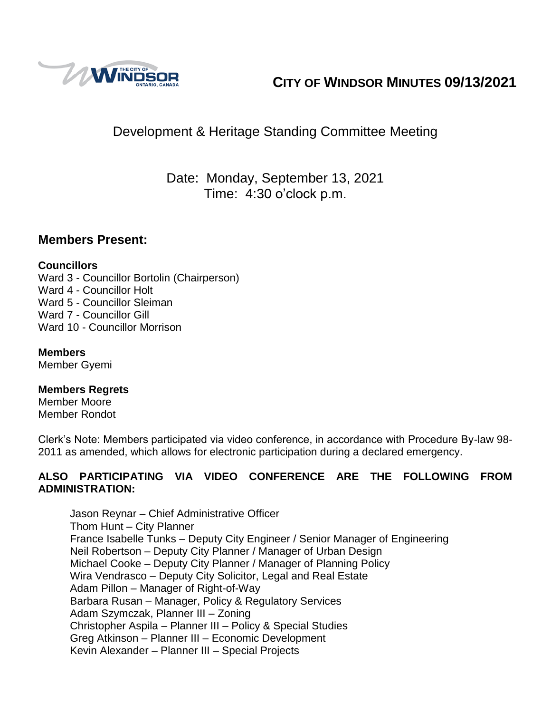

# **CITY OF WINDSOR MINUTES 09/13/2021**

# Development & Heritage Standing Committee Meeting

Date: Monday, September 13, 2021 Time: 4:30 o'clock p.m.

## **Members Present:**

#### **Councillors**

Ward 3 - Councillor Bortolin (Chairperson) Ward 4 - Councillor Holt Ward 5 - Councillor Sleiman Ward 7 - Councillor Gill Ward 10 - Councillor Morrison

#### **Members**

Member Gyemi

#### **Members Regrets**

Member Moore Member Rondot

Clerk's Note: Members participated via video conference, in accordance with Procedure By-law 98- 2011 as amended, which allows for electronic participation during a declared emergency.

#### **ALSO PARTICIPATING VIA VIDEO CONFERENCE ARE THE FOLLOWING FROM ADMINISTRATION:**

Jason Reynar – Chief Administrative Officer Thom Hunt – City Planner France Isabelle Tunks – Deputy City Engineer / Senior Manager of Engineering Neil Robertson – Deputy City Planner / Manager of Urban Design Michael Cooke – Deputy City Planner / Manager of Planning Policy Wira Vendrasco – Deputy City Solicitor, Legal and Real Estate Adam Pillon – Manager of Right-of-Way Barbara Rusan – Manager, Policy & Regulatory Services Adam Szymczak, Planner III – Zoning Christopher Aspila – Planner III – Policy & Special Studies Greg Atkinson – Planner III – Economic Development Kevin Alexander – Planner III – Special Projects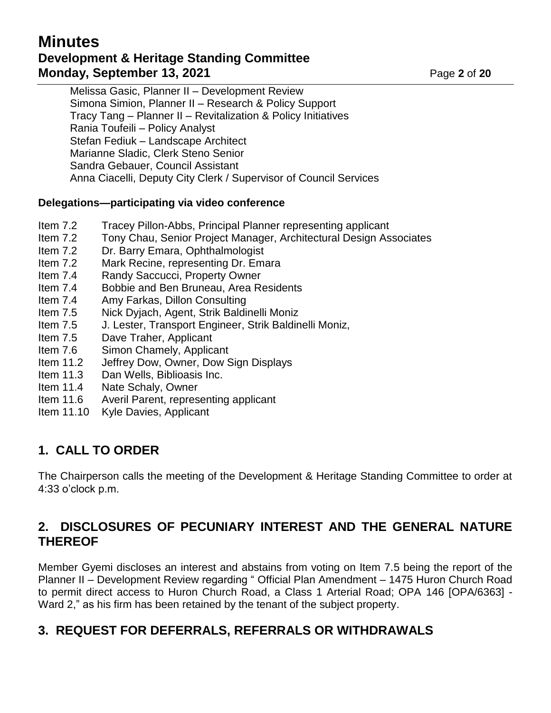# **Minutes Development & Heritage Standing Committee Monday, September 13, 2021 Page 2** of 20

Melissa Gasic, Planner II – Development Review Simona Simion, Planner II – Research & Policy Support Tracy Tang – Planner II – Revitalization & Policy Initiatives Rania Toufeili – Policy Analyst Stefan Fediuk – Landscape Architect Marianne Sladic, Clerk Steno Senior Sandra Gebauer, Council Assistant Anna Ciacelli, Deputy City Clerk / Supervisor of Council Services

#### **Delegations—participating via video conference**

- Item 7.2 Tracey Pillon-Abbs, Principal Planner representing applicant
- Item 7.2 Tony Chau, Senior Project Manager, Architectural Design Associates
- Item 7.2 Dr. Barry Emara, Ophthalmologist
- Item 7.2 Mark Recine, representing Dr. Emara
- Item 7.4 Randy Saccucci, Property Owner
- Item 7.4 Bobbie and Ben Bruneau, Area Residents
- Item 7.4 Amy Farkas, Dillon Consulting
- Item 7.5 Nick Dyjach, Agent, Strik Baldinelli Moniz
- Item 7.5 J. Lester, Transport Engineer, Strik Baldinelli Moniz,
- Item 7.5 Dave Traher, Applicant
- Item 7.6 Simon Chamely, Applicant
- Item 11.2 Jeffrey Dow, Owner, Dow Sign Displays
- Item 11.3 Dan Wells, Biblioasis Inc.
- Item 11.4 Nate Schaly, Owner
- Item 11.6 Averil Parent, representing applicant
- Item 11.10 Kyle Davies, Applicant

## **1. CALL TO ORDER**

The Chairperson calls the meeting of the Development & Heritage Standing Committee to order at 4:33 o'clock p.m.

## **2. DISCLOSURES OF PECUNIARY INTEREST AND THE GENERAL NATURE THEREOF**

Member Gyemi discloses an interest and abstains from voting on Item 7.5 being the report of the Planner II – Development Review regarding " Official Plan Amendment – 1475 Huron Church Road to permit direct access to Huron Church Road, a Class 1 Arterial Road; OPA 146 [OPA/6363] - Ward 2," as his firm has been retained by the tenant of the subject property.

# **3. REQUEST FOR DEFERRALS, REFERRALS OR WITHDRAWALS**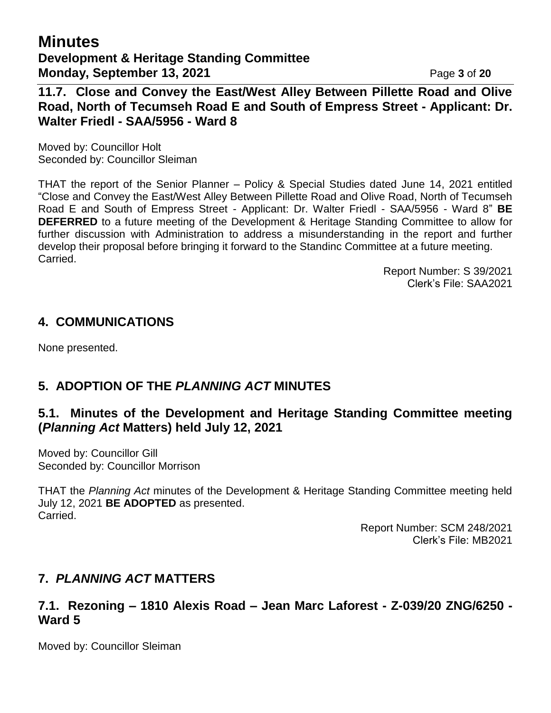# **Minutes Development & Heritage Standing Committee Monday, September 13, 2021 Page 3 of 20**

**11.7. Close and Convey the East/West Alley Between Pillette Road and Olive Road, North of Tecumseh Road E and South of Empress Street - Applicant: Dr. Walter Friedl - SAA/5956 - Ward 8**

Moved by: Councillor Holt Seconded by: Councillor Sleiman

THAT the report of the Senior Planner – Policy & Special Studies dated June 14, 2021 entitled "Close and Convey the East/West Alley Between Pillette Road and Olive Road, North of Tecumseh Road E and South of Empress Street - Applicant: Dr. Walter Friedl - SAA/5956 - Ward 8" **BE DEFERRED** to a future meeting of the Development & Heritage Standing Committee to allow for further discussion with Administration to address a misunderstanding in the report and further develop their proposal before bringing it forward to the Standinc Committee at a future meeting. Carried.

> Report Number: S 39/2021 Clerk's File: SAA2021

#### **4. COMMUNICATIONS**

None presented.

# **5. ADOPTION OF THE** *PLANNING ACT* **MINUTES**

# **5.1. Minutes of the Development and Heritage Standing Committee meeting (***Planning Act* **Matters) held July 12, 2021**

Moved by: Councillor Gill Seconded by: Councillor Morrison

THAT the *Planning Act* minutes of the Development & Heritage Standing Committee meeting held July 12, 2021 **BE ADOPTED** as presented. Carried.

> Report Number: SCM 248/2021 Clerk's File: MB2021

## **7.** *PLANNING ACT* **MATTERS**

## **7.1. Rezoning – 1810 Alexis Road – Jean Marc Laforest - Z-039/20 ZNG/6250 - Ward 5**

Moved by: Councillor Sleiman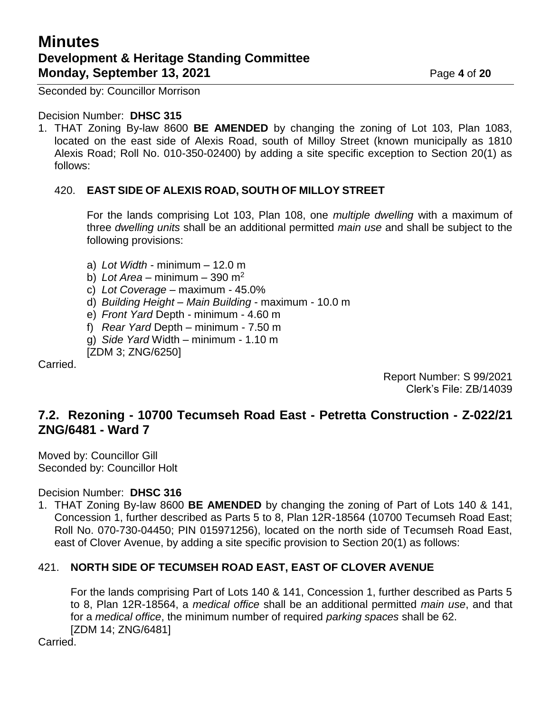# **Minutes Development & Heritage Standing Committee Monday, September 13, 2021 Page 4** of 20

Seconded by: Councillor Morrison

#### Decision Number: **DHSC 315**

1. THAT Zoning By-law 8600 **BE AMENDED** by changing the zoning of Lot 103, Plan 1083, located on the east side of Alexis Road, south of Milloy Street (known municipally as 1810 Alexis Road; Roll No. 010-350-02400) by adding a site specific exception to Section 20(1) as follows:

#### 420. **EAST SIDE OF ALEXIS ROAD, SOUTH OF MILLOY STREET**

For the lands comprising Lot 103, Plan 108, one *multiple dwelling* with a maximum of three *dwelling units* shall be an additional permitted *main use* and shall be subject to the following provisions:

- a) *Lot Width* minimum 12.0 m
- b) *Lot Area* minimum 390 m<sup>2</sup>
- c) *Lot Coverage* maximum 45.0%
- d) *Building Height Main Building* maximum 10.0 m
- e) *Front Yard* Depth minimum 4.60 m
- f) *Rear Yard* Depth minimum 7.50 m
- g) *Side Yard* Width minimum 1.10 m

[ZDM 3; ZNG/6250]

Carried.

Report Number: S 99/2021 Clerk's File: ZB/14039

## **7.2. Rezoning - 10700 Tecumseh Road East - Petretta Construction - Z-022/21 ZNG/6481 - Ward 7**

Moved by: Councillor Gill Seconded by: Councillor Holt

Decision Number: **DHSC 316**

1. THAT Zoning By-law 8600 **BE AMENDED** by changing the zoning of Part of Lots 140 & 141, Concession 1, further described as Parts 5 to 8, Plan 12R-18564 (10700 Tecumseh Road East; Roll No. 070-730-04450; PIN 015971256), located on the north side of Tecumseh Road East, east of Clover Avenue, by adding a site specific provision to Section 20(1) as follows:

#### 421. **NORTH SIDE OF TECUMSEH ROAD EAST, EAST OF CLOVER AVENUE**

For the lands comprising Part of Lots 140 & 141, Concession 1, further described as Parts 5 to 8, Plan 12R-18564, a *medical office* shall be an additional permitted *main use*, and that for a *medical office*, the minimum number of required *parking spaces* shall be 62. [ZDM 14; ZNG/6481]

Carried.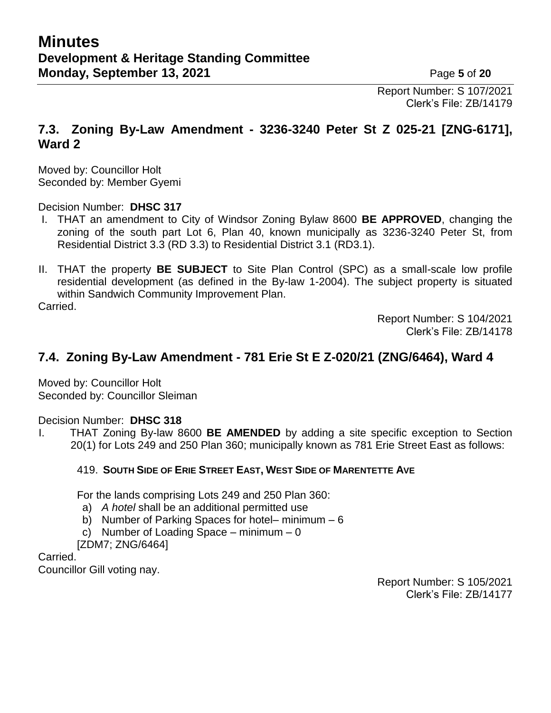Report Number: S 107/2021 Clerk's File: ZB/14179

## **7.3. Zoning By-Law Amendment - 3236-3240 Peter St Z 025-21 [ZNG-6171], Ward 2**

Moved by: Councillor Holt Seconded by: Member Gyemi

Decision Number: **DHSC 317**

- I. THAT an amendment to City of Windsor Zoning Bylaw 8600 **BE APPROVED**, changing the zoning of the south part Lot 6, Plan 40, known municipally as 3236-3240 Peter St, from Residential District 3.3 (RD 3.3) to Residential District 3.1 (RD3.1).
- II. THAT the property **BE SUBJECT** to Site Plan Control (SPC) as a small-scale low profile residential development (as defined in the By-law 1-2004). The subject property is situated within Sandwich Community Improvement Plan.

Carried.

Report Number: S 104/2021 Clerk's File: ZB/14178

# **7.4. Zoning By-Law Amendment - 781 Erie St E Z-020/21 (ZNG/6464), Ward 4**

Moved by: Councillor Holt Seconded by: Councillor Sleiman

Decision Number: **DHSC 318**

I. THAT Zoning By-law 8600 **BE AMENDED** by adding a site specific exception to Section 20(1) for Lots 249 and 250 Plan 360; municipally known as 781 Erie Street East as follows:

#### 419. **SOUTH SIDE OF ERIE STREET EAST, WEST SIDE OF MARENTETTE AVE**

For the lands comprising Lots 249 and 250 Plan 360:

- a) *A hotel* shall be an additional permitted use
- b) Number of Parking Spaces for hotel– minimum 6
- c) Number of Loading Space minimum  $-0$

[ZDM7; ZNG/6464]

Carried.

Councillor Gill voting nay.

Report Number: S 105/2021 Clerk's File: ZB/14177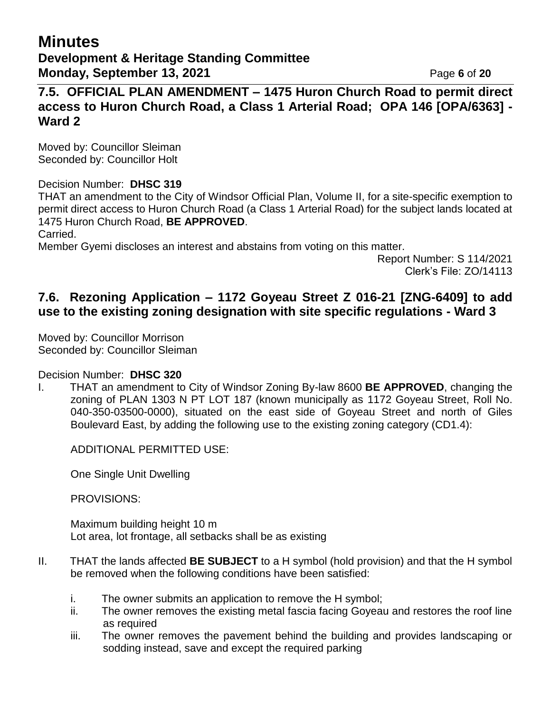**7.5. OFFICIAL PLAN AMENDMENT – 1475 Huron Church Road to permit direct access to Huron Church Road, a Class 1 Arterial Road; OPA 146 [OPA/6363] - Ward 2**

Moved by: Councillor Sleiman Seconded by: Councillor Holt

#### Decision Number: **DHSC 319**

THAT an amendment to the City of Windsor Official Plan, Volume II, for a site-specific exemption to permit direct access to Huron Church Road (a Class 1 Arterial Road) for the subject lands located at 1475 Huron Church Road, **BE APPROVED**.

Carried.

Member Gyemi discloses an interest and abstains from voting on this matter.

Report Number: S 114/2021 Clerk's File: ZO/14113

## **7.6. Rezoning Application – 1172 Goyeau Street Z 016-21 [ZNG-6409] to add use to the existing zoning designation with site specific regulations - Ward 3**

Moved by: Councillor Morrison Seconded by: Councillor Sleiman

Decision Number: **DHSC 320**

I. THAT an amendment to City of Windsor Zoning By-law 8600 **BE APPROVED**, changing the zoning of PLAN 1303 N PT LOT 187 (known municipally as 1172 Goyeau Street, Roll No. 040-350-03500-0000), situated on the east side of Goyeau Street and north of Giles Boulevard East, by adding the following use to the existing zoning category (CD1.4):

ADDITIONAL PERMITTED USE:

One Single Unit Dwelling

PROVISIONS:

Maximum building height 10 m Lot area, lot frontage, all setbacks shall be as existing

- II. THAT the lands affected **BE SUBJECT** to a H symbol (hold provision) and that the H symbol be removed when the following conditions have been satisfied:
	- i. The owner submits an application to remove the H symbol;
	- ii. The owner removes the existing metal fascia facing Goyeau and restores the roof line as required
	- iii. The owner removes the pavement behind the building and provides landscaping or sodding instead, save and except the required parking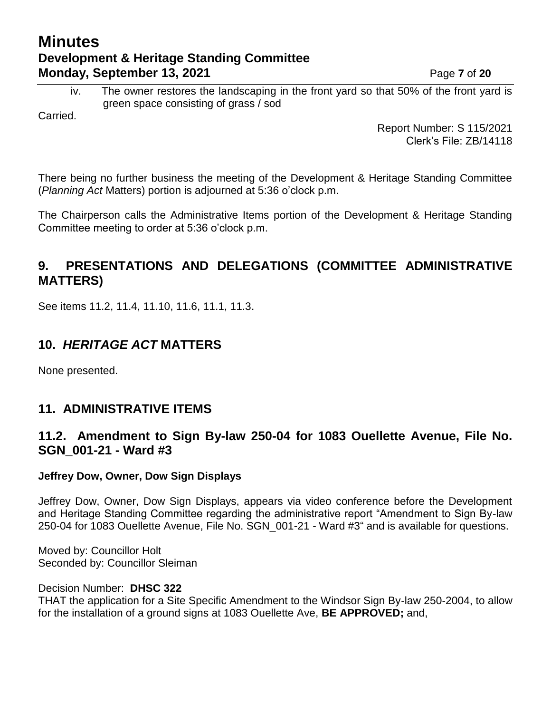# **Minutes Development & Heritage Standing Committee Monday, September 13, 2021 Page 7** of 20

iv. The owner restores the landscaping in the front yard so that 50% of the front yard is green space consisting of grass / sod

Carried.

Report Number: S 115/2021 Clerk's File: ZB/14118

There being no further business the meeting of the Development & Heritage Standing Committee (*Planning Act* Matters) portion is adjourned at 5:36 o'clock p.m.

The Chairperson calls the Administrative Items portion of the Development & Heritage Standing Committee meeting to order at 5:36 o'clock p.m.

# **9. PRESENTATIONS AND DELEGATIONS (COMMITTEE ADMINISTRATIVE MATTERS)**

See items 11.2, 11.4, 11.10, 11.6, 11.1, 11.3.

# **10.** *HERITAGE ACT* **MATTERS**

None presented.

## **11. ADMINISTRATIVE ITEMS**

## **11.2. Amendment to Sign By-law 250-04 for 1083 Ouellette Avenue, File No. SGN\_001-21 - Ward #3**

#### **Jeffrey Dow, Owner, Dow Sign Displays**

Jeffrey Dow, Owner, Dow Sign Displays, appears via video conference before the Development and Heritage Standing Committee regarding the administrative report "Amendment to Sign By-law 250-04 for 1083 Ouellette Avenue, File No. SGN\_001-21 - Ward #3" and is available for questions.

Moved by: Councillor Holt Seconded by: Councillor Sleiman

Decision Number: **DHSC 322**

THAT the application for a Site Specific Amendment to the Windsor Sign By-law 250-2004, to allow for the installation of a ground signs at 1083 Ouellette Ave, **BE APPROVED;** and,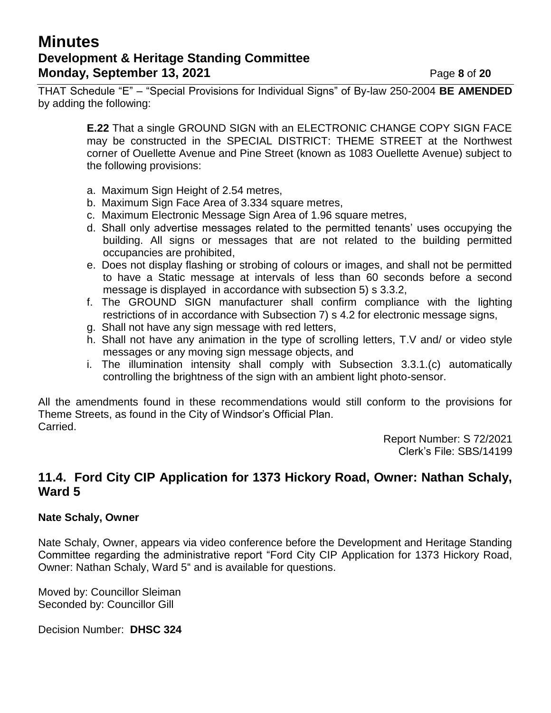# **Minutes Development & Heritage Standing Committee Monday, September 13, 2021 Page 8** of 20

THAT Schedule "E" – "Special Provisions for Individual Signs" of By-law 250-2004 **BE AMENDED**  by adding the following:

> **E.22** That a single GROUND SIGN with an ELECTRONIC CHANGE COPY SIGN FACE may be constructed in the SPECIAL DISTRICT: THEME STREET at the Northwest corner of Ouellette Avenue and Pine Street (known as 1083 Ouellette Avenue) subject to the following provisions:

- a. Maximum Sign Height of 2.54 metres,
- b. Maximum Sign Face Area of 3.334 square metres,
- c. Maximum Electronic Message Sign Area of 1.96 square metres,
- d. Shall only advertise messages related to the permitted tenants' uses occupying the building. All signs or messages that are not related to the building permitted occupancies are prohibited,
- e. Does not display flashing or strobing of colours or images, and shall not be permitted to have a Static message at intervals of less than 60 seconds before a second message is displayed in accordance with subsection 5) s 3.3.2,
- f. The GROUND SIGN manufacturer shall confirm compliance with the lighting restrictions of in accordance with Subsection 7) s 4.2 for electronic message signs,
- g. Shall not have any sign message with red letters,
- h. Shall not have any animation in the type of scrolling letters, T.V and/ or video style messages or any moving sign message objects, and
- i. The illumination intensity shall comply with Subsection 3.3.1.(c) automatically controlling the brightness of the sign with an ambient light photo-sensor.

All the amendments found in these recommendations would still conform to the provisions for Theme Streets, as found in the City of Windsor's Official Plan. Carried.

> Report Number: S 72/2021 Clerk's File: SBS/14199

## **11.4. Ford City CIP Application for 1373 Hickory Road, Owner: Nathan Schaly, Ward 5**

#### **Nate Schaly, Owner**

Nate Schaly, Owner, appears via video conference before the Development and Heritage Standing Committee regarding the administrative report "Ford City CIP Application for 1373 Hickory Road, Owner: Nathan Schaly, Ward 5" and is available for questions.

Moved by: Councillor Sleiman Seconded by: Councillor Gill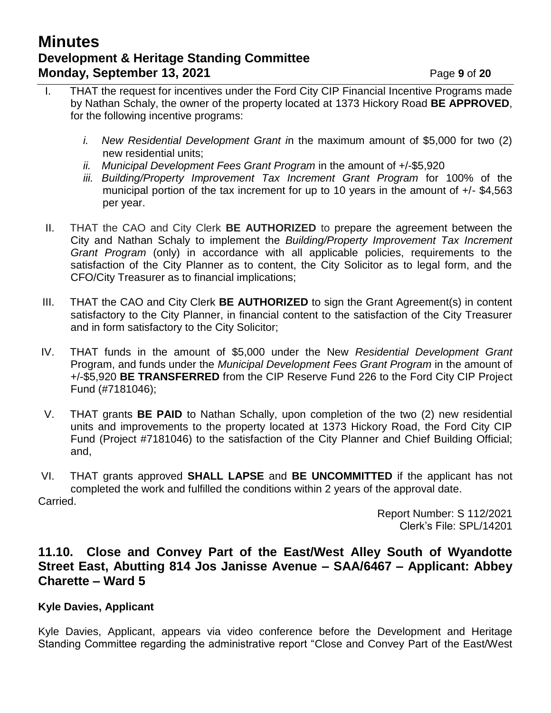# **Minutes Development & Heritage Standing Committee Monday, September 13, 2021 Page 9** of 20

- I. THAT the request for incentives under the Ford City CIP Financial Incentive Programs made by Nathan Schaly, the owner of the property located at 1373 Hickory Road **BE APPROVED**, for the following incentive programs:
	- *i. New Residential Development Grant i*n the maximum amount of \$5,000 for two (2) new residential units;
	- *ii. Municipal Development Fees Grant Program* in the amount of +/-\$5,920
	- *iii. Building/Property Improvement Tax Increment Grant Program* for 100% of the municipal portion of the tax increment for up to 10 years in the amount of +/- \$4,563 per year.
- II. THAT the CAO and City Clerk **BE AUTHORIZED** to prepare the agreement between the City and Nathan Schaly to implement the *Building/Property Improvement Tax Increment Grant Program* (only) in accordance with all applicable policies, requirements to the satisfaction of the City Planner as to content, the City Solicitor as to legal form, and the CFO/City Treasurer as to financial implications;
- III. THAT the CAO and City Clerk **BE AUTHORIZED** to sign the Grant Agreement(s) in content satisfactory to the City Planner, in financial content to the satisfaction of the City Treasurer and in form satisfactory to the City Solicitor;
- IV. THAT funds in the amount of \$5,000 under the New *Residential Development Grant*  Program, and funds under the *Municipal Development Fees Grant Program* in the amount of +/-\$5,920 **BE TRANSFERRED** from the CIP Reserve Fund 226 to the Ford City CIP Project Fund (#7181046);
- V. THAT grants **BE PAID** to Nathan Schally, upon completion of the two (2) new residential units and improvements to the property located at 1373 Hickory Road, the Ford City CIP Fund (Project #7181046) to the satisfaction of the City Planner and Chief Building Official; and,
- VI. THAT grants approved **SHALL LAPSE** and **BE UNCOMMITTED** if the applicant has not completed the work and fulfilled the conditions within 2 years of the approval date. Carried.

Report Number: S 112/2021 Clerk's File: SPL/14201

#### **11.10. Close and Convey Part of the East/West Alley South of Wyandotte Street East, Abutting 814 Jos Janisse Avenue – SAA/6467 – Applicant: Abbey Charette – Ward 5**

#### **Kyle Davies, Applicant**

Kyle Davies, Applicant, appears via video conference before the Development and Heritage Standing Committee regarding the administrative report "Close and Convey Part of the East/West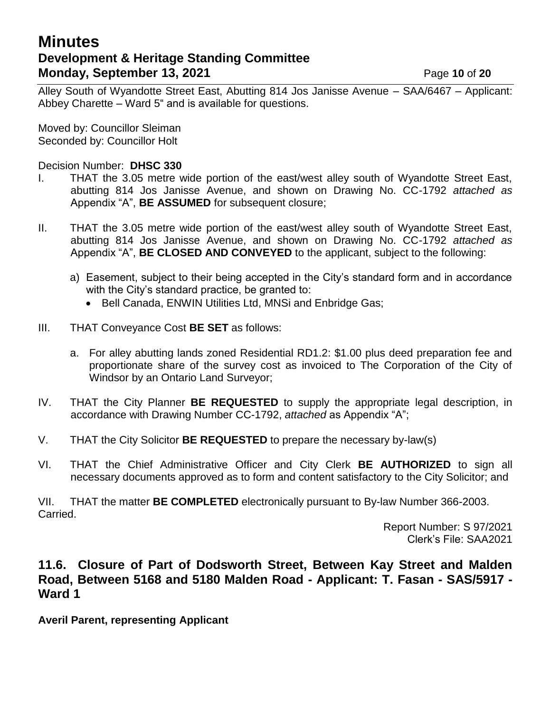# **Minutes Development & Heritage Standing Committee Monday, September 13, 2021 Page 10 of 20**

Alley South of Wyandotte Street East, Abutting 814 Jos Janisse Avenue – SAA/6467 – Applicant: Abbey Charette – Ward 5" and is available for questions.

Moved by: Councillor Sleiman Seconded by: Councillor Holt

Decision Number: **DHSC 330**

- I. THAT the 3.05 metre wide portion of the east/west alley south of Wyandotte Street East, abutting 814 Jos Janisse Avenue, and shown on Drawing No. CC-1792 *attached as* Appendix "A", **BE ASSUMED** for subsequent closure;
- II. THAT the 3.05 metre wide portion of the east/west alley south of Wyandotte Street East, abutting 814 Jos Janisse Avenue, and shown on Drawing No. CC-1792 *attached as* Appendix "A", **BE CLOSED AND CONVEYED** to the applicant, subject to the following:
	- a) Easement, subject to their being accepted in the City's standard form and in accordance with the City's standard practice, be granted to:
		- Bell Canada, ENWIN Utilities Ltd, MNSi and Enbridge Gas;
- III. THAT Conveyance Cost **BE SET** as follows:
	- a. For alley abutting lands zoned Residential RD1.2: \$1.00 plus deed preparation fee and proportionate share of the survey cost as invoiced to The Corporation of the City of Windsor by an Ontario Land Surveyor;
- IV. THAT the City Planner **BE REQUESTED** to supply the appropriate legal description, in accordance with Drawing Number CC-1792, *attached* as Appendix "A";
- V. THAT the City Solicitor **BE REQUESTED** to prepare the necessary by-law(s)
- VI. THAT the Chief Administrative Officer and City Clerk **BE AUTHORIZED** to sign all necessary documents approved as to form and content satisfactory to the City Solicitor; and

VII. THAT the matter **BE COMPLETED** electronically pursuant to By-law Number 366-2003. Carried.

> Report Number: S 97/2021 Clerk's File: SAA2021

## **11.6. Closure of Part of Dodsworth Street, Between Kay Street and Malden Road, Between 5168 and 5180 Malden Road - Applicant: T. Fasan - SAS/5917 - Ward 1**

**Averil Parent, representing Applicant**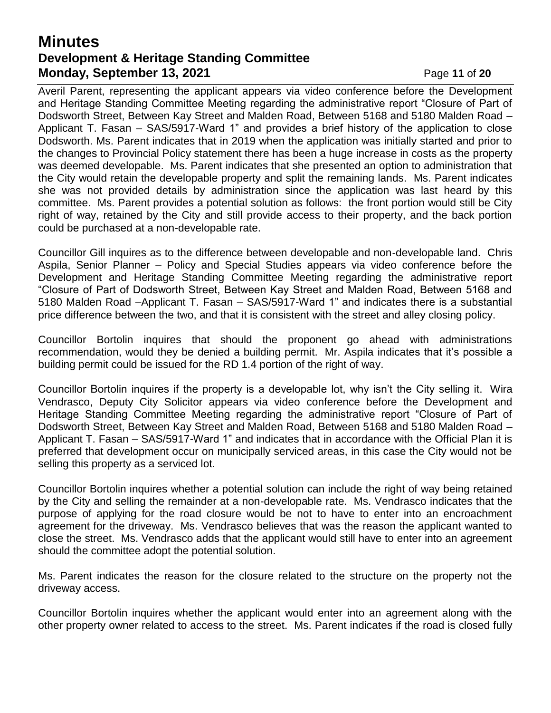# **Minutes Development & Heritage Standing Committee Monday, September 13, 2021 Page 11 of 20**

Averil Parent, representing the applicant appears via video conference before the Development and Heritage Standing Committee Meeting regarding the administrative report "Closure of Part of Dodsworth Street, Between Kay Street and Malden Road, Between 5168 and 5180 Malden Road – Applicant T. Fasan – SAS/5917-Ward 1" and provides a brief history of the application to close Dodsworth. Ms. Parent indicates that in 2019 when the application was initially started and prior to the changes to Provincial Policy statement there has been a huge increase in costs as the property was deemed developable. Ms. Parent indicates that she presented an option to administration that the City would retain the developable property and split the remaining lands. Ms. Parent indicates she was not provided details by administration since the application was last heard by this committee. Ms. Parent provides a potential solution as follows: the front portion would still be City right of way, retained by the City and still provide access to their property, and the back portion could be purchased at a non-developable rate.

Councillor Gill inquires as to the difference between developable and non-developable land. Chris Aspila, Senior Planner – Policy and Special Studies appears via video conference before the Development and Heritage Standing Committee Meeting regarding the administrative report "Closure of Part of Dodsworth Street, Between Kay Street and Malden Road, Between 5168 and 5180 Malden Road –Applicant T. Fasan – SAS/5917-Ward 1" and indicates there is a substantial price difference between the two, and that it is consistent with the street and alley closing policy.

Councillor Bortolin inquires that should the proponent go ahead with administrations recommendation, would they be denied a building permit. Mr. Aspila indicates that it's possible a building permit could be issued for the RD 1.4 portion of the right of way.

Councillor Bortolin inquires if the property is a developable lot, why isn't the City selling it. Wira Vendrasco, Deputy City Solicitor appears via video conference before the Development and Heritage Standing Committee Meeting regarding the administrative report "Closure of Part of Dodsworth Street, Between Kay Street and Malden Road, Between 5168 and 5180 Malden Road – Applicant T. Fasan – SAS/5917-Ward 1" and indicates that in accordance with the Official Plan it is preferred that development occur on municipally serviced areas, in this case the City would not be selling this property as a serviced lot.

Councillor Bortolin inquires whether a potential solution can include the right of way being retained by the City and selling the remainder at a non-developable rate. Ms. Vendrasco indicates that the purpose of applying for the road closure would be not to have to enter into an encroachment agreement for the driveway. Ms. Vendrasco believes that was the reason the applicant wanted to close the street. Ms. Vendrasco adds that the applicant would still have to enter into an agreement should the committee adopt the potential solution.

Ms. Parent indicates the reason for the closure related to the structure on the property not the driveway access.

Councillor Bortolin inquires whether the applicant would enter into an agreement along with the other property owner related to access to the street. Ms. Parent indicates if the road is closed fully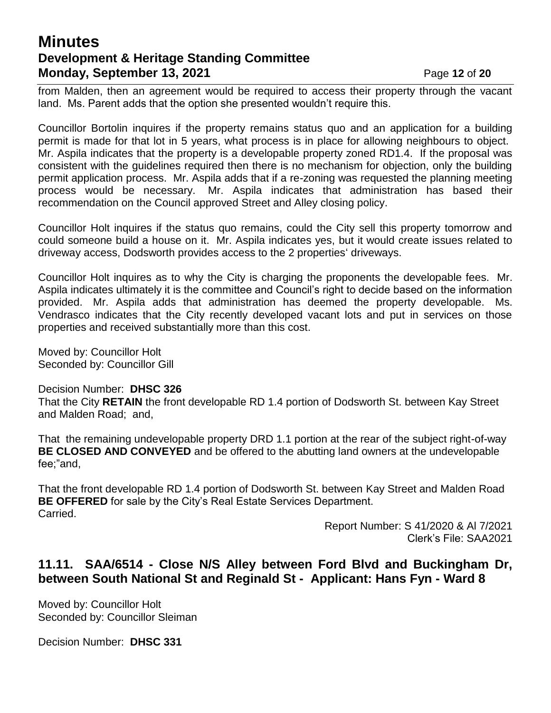# **Minutes Development & Heritage Standing Committee Monday, September 13, 2021 Page 12 of 20**

from Malden, then an agreement would be required to access their property through the vacant land. Ms. Parent adds that the option she presented wouldn't require this.

Councillor Bortolin inquires if the property remains status quo and an application for a building permit is made for that lot in 5 years, what process is in place for allowing neighbours to object. Mr. Aspila indicates that the property is a developable property zoned RD1.4. If the proposal was consistent with the guidelines required then there is no mechanism for objection, only the building permit application process. Mr. Aspila adds that if a re-zoning was requested the planning meeting process would be necessary. Mr. Aspila indicates that administration has based their recommendation on the Council approved Street and Alley closing policy.

Councillor Holt inquires if the status quo remains, could the City sell this property tomorrow and could someone build a house on it. Mr. Aspila indicates yes, but it would create issues related to driveway access, Dodsworth provides access to the 2 properties' driveways.

Councillor Holt inquires as to why the City is charging the proponents the developable fees. Mr. Aspila indicates ultimately it is the committee and Council's right to decide based on the information provided. Mr. Aspila adds that administration has deemed the property developable. Ms. Vendrasco indicates that the City recently developed vacant lots and put in services on those properties and received substantially more than this cost.

Moved by: Councillor Holt Seconded by: Councillor Gill

Decision Number: **DHSC 326**

That the City **RETAIN** the front developable RD 1.4 portion of Dodsworth St. between Kay Street and Malden Road; and,

That the remaining undevelopable property DRD 1.1 portion at the rear of the subject right-of-way **BE CLOSED AND CONVEYED** and be offered to the abutting land owners at the undevelopable fee;"and,

That the front developable RD 1.4 portion of Dodsworth St. between Kay Street and Malden Road **BE OFFERED** for sale by the City's Real Estate Services Department. Carried.

Report Number: S 41/2020 & Al 7/2021 Clerk's File: SAA2021

## **11.11. SAA/6514 - Close N/S Alley between Ford Blvd and Buckingham Dr, between South National St and Reginald St - Applicant: Hans Fyn - Ward 8**

Moved by: Councillor Holt Seconded by: Councillor Sleiman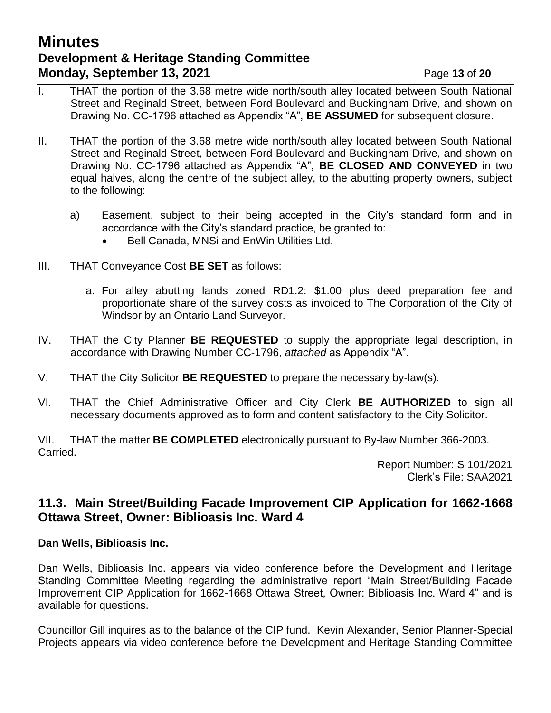# **Minutes Development & Heritage Standing Committee Monday, September 13, 2021 Page 13 of 20**

- I. THAT the portion of the 3.68 metre wide north/south alley located between South National Street and Reginald Street, between Ford Boulevard and Buckingham Drive, and shown on Drawing No. CC-1796 attached as Appendix "A", **BE ASSUMED** for subsequent closure.
- II. THAT the portion of the 3.68 metre wide north/south alley located between South National Street and Reginald Street, between Ford Boulevard and Buckingham Drive, and shown on Drawing No. CC-1796 attached as Appendix "A", **BE CLOSED AND CONVEYED** in two equal halves, along the centre of the subject alley, to the abutting property owners, subject to the following:
	- a) Easement, subject to their being accepted in the City's standard form and in accordance with the City's standard practice, be granted to:
		- Bell Canada, MNSi and EnWin Utilities Ltd.
- III. THAT Conveyance Cost **BE SET** as follows:
	- a. For alley abutting lands zoned RD1.2: \$1.00 plus deed preparation fee and proportionate share of the survey costs as invoiced to The Corporation of the City of Windsor by an Ontario Land Surveyor.
- IV. THAT the City Planner **BE REQUESTED** to supply the appropriate legal description, in accordance with Drawing Number CC-1796, *attached* as Appendix "A".
- V. THAT the City Solicitor **BE REQUESTED** to prepare the necessary by-law(s).
- VI. THAT the Chief Administrative Officer and City Clerk **BE AUTHORIZED** to sign all necessary documents approved as to form and content satisfactory to the City Solicitor.

VII. THAT the matter **BE COMPLETED** electronically pursuant to By-law Number 366-2003. Carried.

> Report Number: S 101/2021 Clerk's File: SAA2021

## **11.3. Main Street/Building Facade Improvement CIP Application for 1662-1668 Ottawa Street, Owner: Biblioasis Inc. Ward 4**

#### **Dan Wells, Biblioasis Inc.**

Dan Wells, Biblioasis Inc. appears via video conference before the Development and Heritage Standing Committee Meeting regarding the administrative report "Main Street/Building Facade Improvement CIP Application for 1662-1668 Ottawa Street, Owner: Biblioasis Inc. Ward 4" and is available for questions.

Councillor Gill inquires as to the balance of the CIP fund. Kevin Alexander, Senior Planner-Special Projects appears via video conference before the Development and Heritage Standing Committee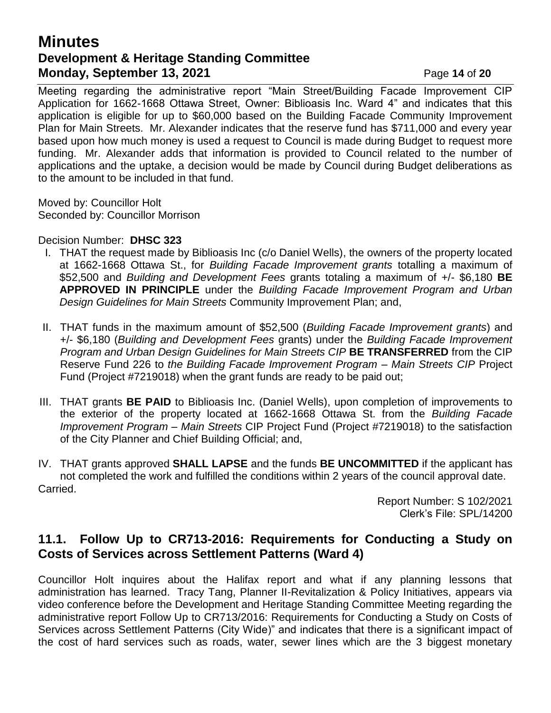# **Minutes Development & Heritage Standing Committee Monday, September 13, 2021 Page 14 of 20**

Meeting regarding the administrative report "Main Street/Building Facade Improvement CIP Application for 1662-1668 Ottawa Street, Owner: Biblioasis Inc. Ward 4" and indicates that this application is eligible for up to \$60,000 based on the Building Facade Community Improvement Plan for Main Streets. Mr. Alexander indicates that the reserve fund has \$711,000 and every year based upon how much money is used a request to Council is made during Budget to request more funding. Mr. Alexander adds that information is provided to Council related to the number of applications and the uptake, a decision would be made by Council during Budget deliberations as to the amount to be included in that fund.

Moved by: Councillor Holt Seconded by: Councillor Morrison

Decision Number: **DHSC 323**

- I. THAT the request made by Biblioasis Inc (c/o Daniel Wells), the owners of the property located at 1662-1668 Ottawa St., for *Building Facade Improvement grants* totalling a maximum of \$52,500 and *Building and Development Fees* grants totaling a maximum of +/- \$6,180 **BE APPROVED IN PRINCIPLE** under the *Building Facade Improvement Program and Urban Design Guidelines for Main Streets* Community Improvement Plan; and,
- II. THAT funds in the maximum amount of \$52,500 (*Building Facade Improvement grants*) and +/- \$6,180 (*Building and Development Fees* grants) under the *Building Facade Improvement Program and Urban Design Guidelines for Main Streets CIP* **BE TRANSFERRED** from the CIP Reserve Fund 226 to *the Building Facade Improvement Program – Main Streets CIP* Project Fund (Project #7219018) when the grant funds are ready to be paid out;
- III. THAT grants **BE PAID** to Biblioasis Inc. (Daniel Wells), upon completion of improvements to the exterior of the property located at 1662-1668 Ottawa St. from the *Building Facade Improvement Program – Main Streets* CIP Project Fund (Project #7219018) to the satisfaction of the City Planner and Chief Building Official; and,

IV. THAT grants approved **SHALL LAPSE** and the funds **BE UNCOMMITTED** if the applicant has not completed the work and fulfilled the conditions within 2 years of the council approval date. Carried.

> Report Number: S 102/2021 Clerk's File: SPL/14200

## **11.1. Follow Up to CR713-2016: Requirements for Conducting a Study on Costs of Services across Settlement Patterns (Ward 4)**

Councillor Holt inquires about the Halifax report and what if any planning lessons that administration has learned. Tracy Tang, Planner II-Revitalization & Policy Initiatives, appears via video conference before the Development and Heritage Standing Committee Meeting regarding the administrative report Follow Up to CR713/2016: Requirements for Conducting a Study on Costs of Services across Settlement Patterns (City Wide)" and indicates that there is a significant impact of the cost of hard services such as roads, water, sewer lines which are the 3 biggest monetary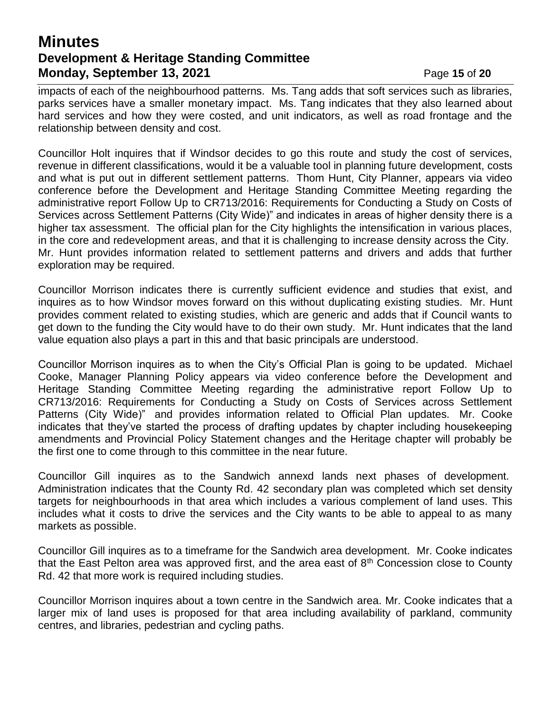# **Minutes Development & Heritage Standing Committee Monday, September 13, 2021 Page 15 of 20**

impacts of each of the neighbourhood patterns. Ms. Tang adds that soft services such as libraries, parks services have a smaller monetary impact. Ms. Tang indicates that they also learned about hard services and how they were costed, and unit indicators, as well as road frontage and the relationship between density and cost.

Councillor Holt inquires that if Windsor decides to go this route and study the cost of services, revenue in different classifications, would it be a valuable tool in planning future development, costs and what is put out in different settlement patterns. Thom Hunt, City Planner, appears via video conference before the Development and Heritage Standing Committee Meeting regarding the administrative report Follow Up to CR713/2016: Requirements for Conducting a Study on Costs of Services across Settlement Patterns (City Wide)" and indicates in areas of higher density there is a higher tax assessment. The official plan for the City highlights the intensification in various places, in the core and redevelopment areas, and that it is challenging to increase density across the City. Mr. Hunt provides information related to settlement patterns and drivers and adds that further exploration may be required.

Councillor Morrison indicates there is currently sufficient evidence and studies that exist, and inquires as to how Windsor moves forward on this without duplicating existing studies. Mr. Hunt provides comment related to existing studies, which are generic and adds that if Council wants to get down to the funding the City would have to do their own study. Mr. Hunt indicates that the land value equation also plays a part in this and that basic principals are understood.

Councillor Morrison inquires as to when the City's Official Plan is going to be updated. Michael Cooke, Manager Planning Policy appears via video conference before the Development and Heritage Standing Committee Meeting regarding the administrative report Follow Up to CR713/2016: Requirements for Conducting a Study on Costs of Services across Settlement Patterns (City Wide)" and provides information related to Official Plan updates. Mr. Cooke indicates that they've started the process of drafting updates by chapter including housekeeping amendments and Provincial Policy Statement changes and the Heritage chapter will probably be the first one to come through to this committee in the near future.

Councillor Gill inquires as to the Sandwich annexd lands next phases of development. Administration indicates that the County Rd. 42 secondary plan was completed which set density targets for neighbourhoods in that area which includes a various complement of land uses. This includes what it costs to drive the services and the City wants to be able to appeal to as many markets as possible.

Councillor Gill inquires as to a timeframe for the Sandwich area development. Mr. Cooke indicates that the East Pelton area was approved first, and the area east of  $8<sup>th</sup>$  Concession close to County Rd. 42 that more work is required including studies.

Councillor Morrison inquires about a town centre in the Sandwich area. Mr. Cooke indicates that a larger mix of land uses is proposed for that area including availability of parkland, community centres, and libraries, pedestrian and cycling paths.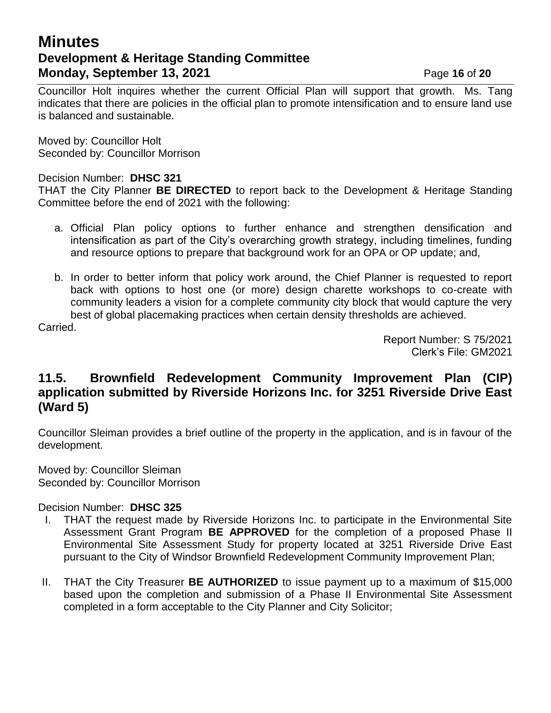# **Minutes Development & Heritage Standing Committee Monday, September 13, 2021 Page 16 of 20**

Councillor Holt inquires whether the current Official Plan will support that growth. Ms. Tang indicates that there are policies in the official plan to promote intensification and to ensure land use is balanced and sustainable.

Moved by: Councillor Holt Seconded by: Councillor Morrison

#### Decision Number: **DHSC 321**

THAT the City Planner **BE DIRECTED** to report back to the Development & Heritage Standing Committee before the end of 2021 with the following:

- a. Official Plan policy options to further enhance and strengthen densification and intensification as part of the City's overarching growth strategy, including timelines, funding and resource options to prepare that background work for an OPA or OP update; and,
- b. In order to better inform that policy work around, the Chief Planner is requested to report back with options to host one (or more) design charette workshops to co-create with community leaders a vision for a complete community city block that would capture the very best of global placemaking practices when certain density thresholds are achieved.

Carried.

Report Number: S 75/2021 Clerk's File: GM2021

## **11.5. Brownfield Redevelopment Community Improvement Plan (CIP) application submitted by Riverside Horizons Inc. for 3251 Riverside Drive East (Ward 5)**

Councillor Sleiman provides a brief outline of the property in the application, and is in favour of the development.

Moved by: Councillor Sleiman Seconded by: Councillor Morrison

- I. THAT the request made by Riverside Horizons Inc. to participate in the Environmental Site Assessment Grant Program **BE APPROVED** for the completion of a proposed Phase II Environmental Site Assessment Study for property located at 3251 Riverside Drive East pursuant to the City of Windsor Brownfield Redevelopment Community Improvement Plan;
- II. THAT the City Treasurer **BE AUTHORIZED** to issue payment up to a maximum of \$15,000 based upon the completion and submission of a Phase II Environmental Site Assessment completed in a form acceptable to the City Planner and City Solicitor;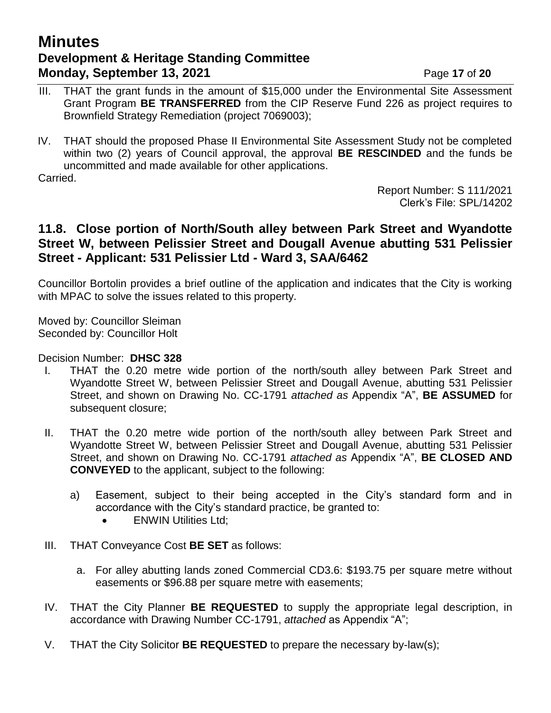# **Minutes Development & Heritage Standing Committee Monday, September 13, 2021 Page 17 of 20**

III. THAT the grant funds in the amount of \$15,000 under the Environmental Site Assessment Grant Program **BE TRANSFERRED** from the CIP Reserve Fund 226 as project requires to Brownfield Strategy Remediation (project 7069003);

IV. THAT should the proposed Phase II Environmental Site Assessment Study not be completed within two (2) years of Council approval, the approval **BE RESCINDED** and the funds be uncommitted and made available for other applications.

Carried.

Report Number: S 111/2021 Clerk's File: SPL/14202

## **11.8. Close portion of North/South alley between Park Street and Wyandotte Street W, between Pelissier Street and Dougall Avenue abutting 531 Pelissier Street - Applicant: 531 Pelissier Ltd - Ward 3, SAA/6462**

Councillor Bortolin provides a brief outline of the application and indicates that the City is working with MPAC to solve the issues related to this property.

Moved by: Councillor Sleiman Seconded by: Councillor Holt

- I. THAT the 0.20 metre wide portion of the north/south alley between Park Street and Wyandotte Street W, between Pelissier Street and Dougall Avenue, abutting 531 Pelissier Street, and shown on Drawing No. CC-1791 *attached as* Appendix "A", **BE ASSUMED** for subsequent closure;
- II. THAT the 0.20 metre wide portion of the north/south alley between Park Street and Wyandotte Street W, between Pelissier Street and Dougall Avenue, abutting 531 Pelissier Street, and shown on Drawing No. CC-1791 *attached as* Appendix "A", **BE CLOSED AND CONVEYED** to the applicant, subject to the following:
	- a) Easement, subject to their being accepted in the City's standard form and in accordance with the City's standard practice, be granted to:
		- **ENWIN Utilities Ltd:**
- III. THAT Conveyance Cost **BE SET** as follows:
	- a. For alley abutting lands zoned Commercial CD3.6: \$193.75 per square metre without easements or \$96.88 per square metre with easements;
- IV. THAT the City Planner **BE REQUESTED** to supply the appropriate legal description, in accordance with Drawing Number CC-1791, *attached* as Appendix "A";
- V. THAT the City Solicitor **BE REQUESTED** to prepare the necessary by-law(s);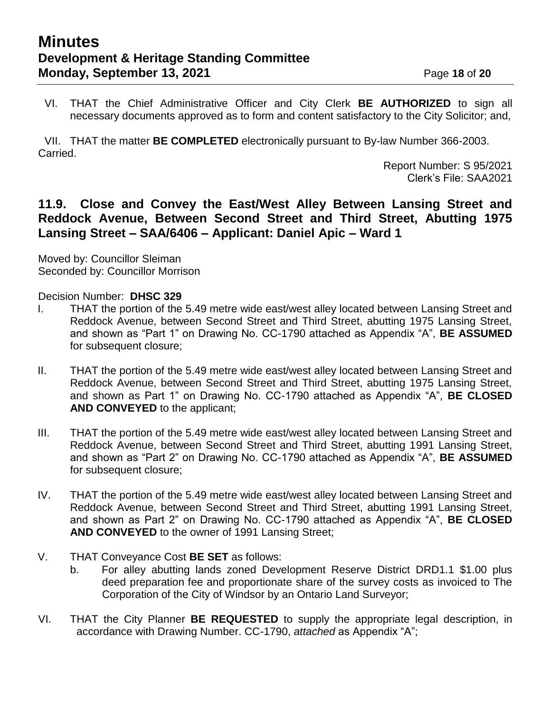VI. THAT the Chief Administrative Officer and City Clerk **BE AUTHORIZED** to sign all necessary documents approved as to form and content satisfactory to the City Solicitor; and,

VII. THAT the matter **BE COMPLETED** electronically pursuant to By-law Number 366-2003. Carried.

Report Number: S 95/2021 Clerk's File: SAA2021

## **11.9. Close and Convey the East/West Alley Between Lansing Street and Reddock Avenue, Between Second Street and Third Street, Abutting 1975 Lansing Street – SAA/6406 – Applicant: Daniel Apic – Ward 1**

Moved by: Councillor Sleiman Seconded by: Councillor Morrison

- I. THAT the portion of the 5.49 metre wide east/west alley located between Lansing Street and Reddock Avenue, between Second Street and Third Street, abutting 1975 Lansing Street, and shown as "Part 1" on Drawing No. CC-1790 attached as Appendix "A", **BE ASSUMED**  for subsequent closure;
- II. THAT the portion of the 5.49 metre wide east/west alley located between Lansing Street and Reddock Avenue, between Second Street and Third Street, abutting 1975 Lansing Street, and shown as Part 1" on Drawing No. CC-1790 attached as Appendix "A", **BE CLOSED AND CONVEYED** to the applicant;
- III. THAT the portion of the 5.49 metre wide east/west alley located between Lansing Street and Reddock Avenue, between Second Street and Third Street, abutting 1991 Lansing Street, and shown as "Part 2" on Drawing No. CC-1790 attached as Appendix "A", **BE ASSUMED**  for subsequent closure;
- IV. THAT the portion of the 5.49 metre wide east/west alley located between Lansing Street and Reddock Avenue, between Second Street and Third Street, abutting 1991 Lansing Street, and shown as Part 2" on Drawing No. CC-1790 attached as Appendix "A", **BE CLOSED AND CONVEYED** to the owner of 1991 Lansing Street;
- V. THAT Conveyance Cost **BE SET** as follows:
	- b. For alley abutting lands zoned Development Reserve District DRD1.1 \$1.00 plus deed preparation fee and proportionate share of the survey costs as invoiced to The Corporation of the City of Windsor by an Ontario Land Surveyor;
- VI. THAT the City Planner **BE REQUESTED** to supply the appropriate legal description, in accordance with Drawing Number. CC-1790, *attached* as Appendix "A";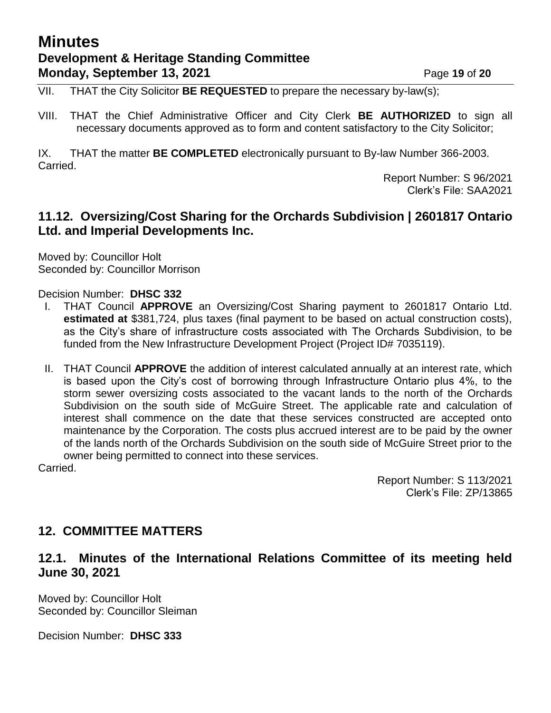# **Minutes Development & Heritage Standing Committee Monday, September 13, 2021 Page 19 of 20**

VII. THAT the City Solicitor **BE REQUESTED** to prepare the necessary by-law(s);

VIII. THAT the Chief Administrative Officer and City Clerk **BE AUTHORIZED** to sign all necessary documents approved as to form and content satisfactory to the City Solicitor;

IX. THAT the matter **BE COMPLETED** electronically pursuant to By-law Number 366-2003. Carried.

> Report Number: S 96/2021 Clerk's File: SAA2021

#### **11.12. Oversizing/Cost Sharing for the Orchards Subdivision | 2601817 Ontario Ltd. and Imperial Developments Inc.**

Moved by: Councillor Holt Seconded by: Councillor Morrison

Decision Number: **DHSC 332**

- I. THAT Council **APPROVE** an Oversizing/Cost Sharing payment to 2601817 Ontario Ltd. **estimated at** \$381,724, plus taxes (final payment to be based on actual construction costs), as the City's share of infrastructure costs associated with The Orchards Subdivision, to be funded from the New Infrastructure Development Project (Project ID# 7035119).
- II. THAT Council **APPROVE** the addition of interest calculated annually at an interest rate, which is based upon the City's cost of borrowing through Infrastructure Ontario plus 4%, to the storm sewer oversizing costs associated to the vacant lands to the north of the Orchards Subdivision on the south side of McGuire Street. The applicable rate and calculation of interest shall commence on the date that these services constructed are accepted onto maintenance by the Corporation. The costs plus accrued interest are to be paid by the owner of the lands north of the Orchards Subdivision on the south side of McGuire Street prior to the owner being permitted to connect into these services.

Carried.

Report Number: S 113/2021 Clerk's File: ZP/13865

## **12. COMMITTEE MATTERS**

## **12.1. Minutes of the International Relations Committee of its meeting held June 30, 2021**

Moved by: Councillor Holt Seconded by: Councillor Sleiman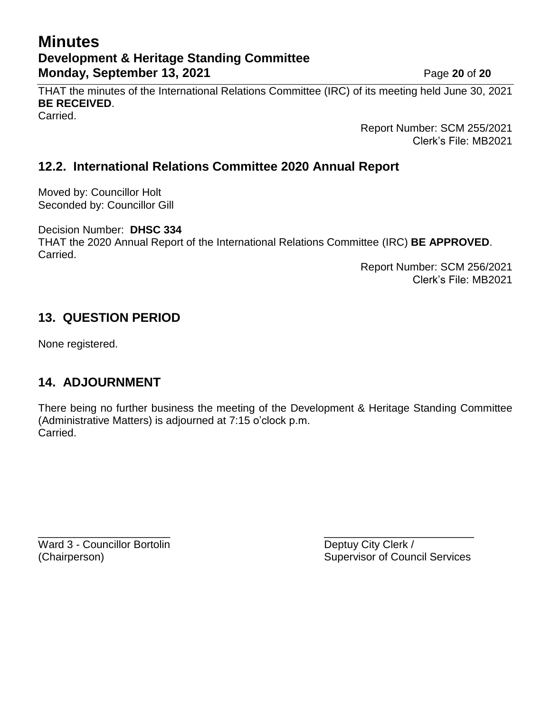# **Minutes Development & Heritage Standing Committee Monday, September 13, 2021 Page 20 of 20**

THAT the minutes of the International Relations Committee (IRC) of its meeting held June 30, 2021 **BE RECEIVED**. Carried.

> Report Number: SCM 255/2021 Clerk's File: MB2021

# **12.2. International Relations Committee 2020 Annual Report**

Moved by: Councillor Holt Seconded by: Councillor Gill

Decision Number: **DHSC 334** THAT the 2020 Annual Report of the International Relations Committee (IRC) **BE APPROVED**. Carried.

> Report Number: SCM 256/2021 Clerk's File: MB2021

# **13. QUESTION PERIOD**

None registered.

# **14. ADJOURNMENT**

There being no further business the meeting of the Development & Heritage Standing Committee (Administrative Matters) is adjourned at 7:15 o'clock p.m. Carried.

Ward 3 - Councillor Bortolin **Deptuy City Clerk** /

 $\overline{\phantom{a}}$  , and the contract of the contract of the contract of the contract of the contract of the contract of the contract of the contract of the contract of the contract of the contract of the contract of the contrac (Chairperson) Supervisor of Council Services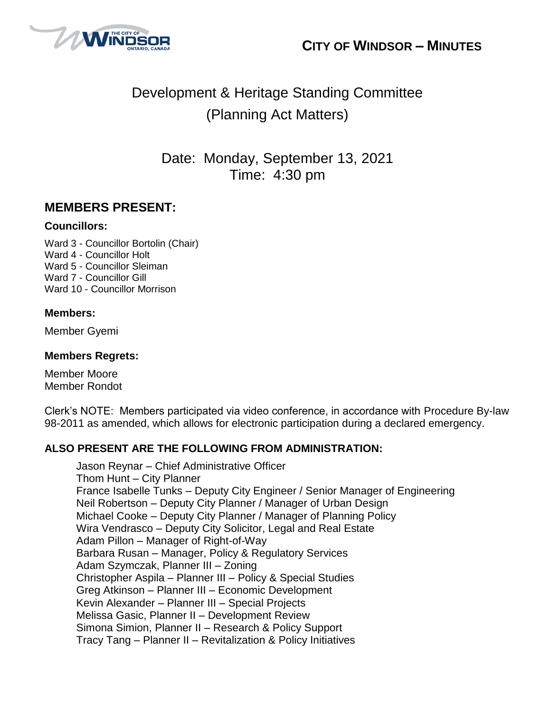



# Development & Heritage Standing Committee (Planning Act Matters)

Date: Monday, September 13, 2021 Time: 4:30 pm

## **MEMBERS PRESENT:**

#### **Councillors:**

Ward 3 - Councillor Bortolin (Chair) Ward 4 - Councillor Holt Ward 5 - Councillor Sleiman Ward 7 - Councillor Gill Ward 10 - Councillor Morrison

#### **Members:**

Member Gyemi

#### **Members Regrets:**

Member Moore Member Rondot

Clerk's NOTE: Members participated via video conference, in accordance with Procedure By-law 98-2011 as amended, which allows for electronic participation during a declared emergency.

#### **ALSO PRESENT ARE THE FOLLOWING FROM ADMINISTRATION:**

Jason Reynar – Chief Administrative Officer Thom Hunt – City Planner France Isabelle Tunks – Deputy City Engineer / Senior Manager of Engineering Neil Robertson – Deputy City Planner / Manager of Urban Design Michael Cooke – Deputy City Planner / Manager of Planning Policy Wira Vendrasco – Deputy City Solicitor, Legal and Real Estate Adam Pillon – Manager of Right-of-Way Barbara Rusan – Manager, Policy & Regulatory Services Adam Szymczak, Planner III – Zoning Christopher Aspila – Planner III – Policy & Special Studies Greg Atkinson – Planner III – Economic Development Kevin Alexander – Planner III – Special Projects Melissa Gasic, Planner II – Development Review Simona Simion, Planner II – Research & Policy Support Tracy Tang – Planner II – Revitalization & Policy Initiatives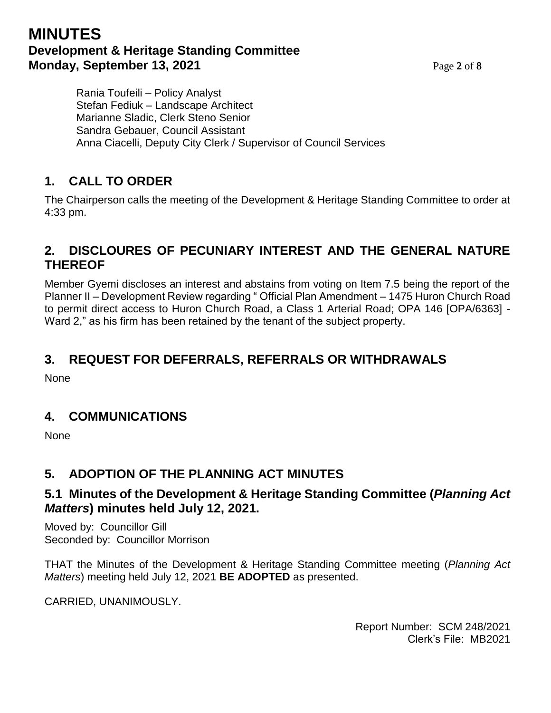# **MINUTES Development & Heritage Standing Committee Monday, September 13, 2021** Page 2 of 8

Rania Toufeili – Policy Analyst Stefan Fediuk – Landscape Architect Marianne Sladic, Clerk Steno Senior Sandra Gebauer, Council Assistant Anna Ciacelli, Deputy City Clerk / Supervisor of Council Services

# **1. CALL TO ORDER**

The Chairperson calls the meeting of the Development & Heritage Standing Committee to order at 4:33 pm.

# **2. DISCLOURES OF PECUNIARY INTEREST AND THE GENERAL NATURE THEREOF**

Member Gyemi discloses an interest and abstains from voting on Item 7.5 being the report of the Planner II – Development Review regarding " Official Plan Amendment – 1475 Huron Church Road to permit direct access to Huron Church Road, a Class 1 Arterial Road; OPA 146 [OPA/6363] - Ward 2," as his firm has been retained by the tenant of the subject property.

# **3. REQUEST FOR DEFERRALS, REFERRALS OR WITHDRAWALS**

None

## **4. COMMUNICATIONS**

None

# **5. ADOPTION OF THE PLANNING ACT MINUTES**

## **5.1 Minutes of the Development & Heritage Standing Committee (***Planning Act Matters***) minutes held July 12, 2021.**

Moved by: Councillor Gill Seconded by: Councillor Morrison

THAT the Minutes of the Development & Heritage Standing Committee meeting (*Planning Act Matters*) meeting held July 12, 2021 **BE ADOPTED** as presented.

CARRIED, UNANIMOUSLY.

Report Number: SCM 248/2021 Clerk's File: MB2021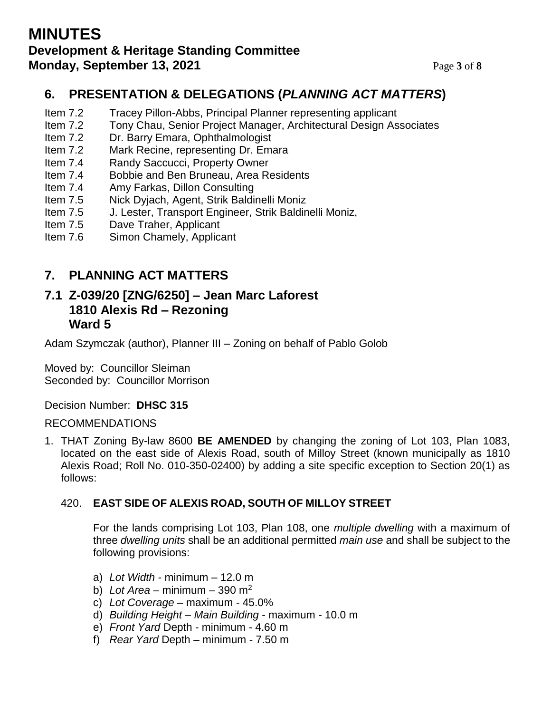# **MINUTES Development & Heritage Standing Committee Monday, September 13, 2021** Page 3 of 8

# **6. PRESENTATION & DELEGATIONS (***PLANNING ACT MATTERS***)**

- Item 7.2 Tracey Pillon-Abbs, Principal Planner representing applicant
- Item 7.2 Tony Chau, Senior Project Manager, Architectural Design Associates
- Item 7.2 Dr. Barry Emara, Ophthalmologist
- Item 7.2 Mark Recine, representing Dr. Emara
- Item 7.4 Randy Saccucci, Property Owner
- Item 7.4 Bobbie and Ben Bruneau, Area Residents
- Item 7.4 Amy Farkas, Dillon Consulting
- Item 7.5 Nick Dyjach, Agent, Strik Baldinelli Moniz
- Item 7.5 J. Lester, Transport Engineer, Strik Baldinelli Moniz,
- Item 7.5 Dave Traher, Applicant
- Item 7.6 Simon Chamely, Applicant

## **7. PLANNING ACT MATTERS**

## **7.1 Z-039/20 [ZNG/6250] – Jean Marc Laforest 1810 Alexis Rd – Rezoning Ward 5**

Adam Szymczak (author), Planner III – Zoning on behalf of Pablo Golob

Moved by: Councillor Sleiman Seconded by: Councillor Morrison

Decision Number: **DHSC 315**

#### RECOMMENDATIONS

1. THAT Zoning By-law 8600 **BE AMENDED** by changing the zoning of Lot 103, Plan 1083, located on the east side of Alexis Road, south of Milloy Street (known municipally as 1810 Alexis Road; Roll No. 010-350-02400) by adding a site specific exception to Section 20(1) as follows:

#### 420. **EAST SIDE OF ALEXIS ROAD, SOUTH OF MILLOY STREET**

For the lands comprising Lot 103, Plan 108, one *multiple dwelling* with a maximum of three *dwelling units* shall be an additional permitted *main use* and shall be subject to the following provisions:

- a) *Lot Width* minimum 12.0 m
- b) *Lot Area* minimum 390 m<sup>2</sup>
- c) *Lot Coverage* maximum 45.0%
- d) *Building Height Main Building* maximum 10.0 m
- e) *Front Yard* Depth minimum 4.60 m
- f) *Rear Yard* Depth minimum 7.50 m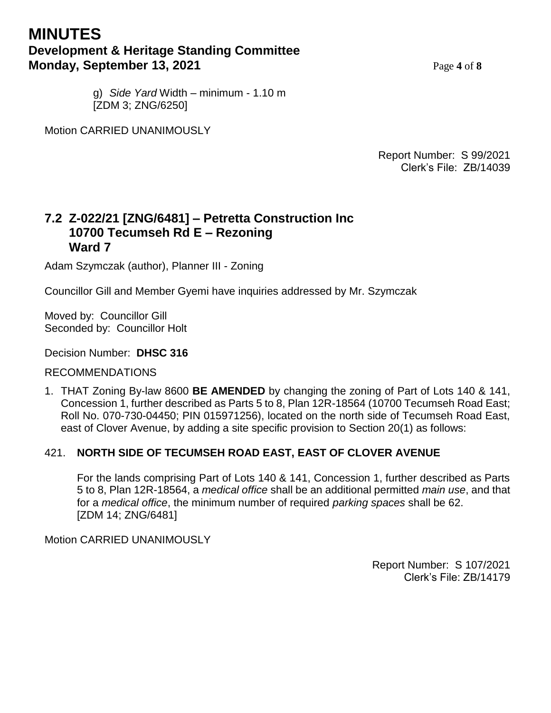# **MINUTES Development & Heritage Standing Committee Monday, September 13, 2021** Page 4 of 8

g) *Side Yard* Width – minimum - 1.10 m [ZDM 3; ZNG/6250]

Motion CARRIED UNANIMOUSLY

Report Number: S 99/2021 Clerk's File: ZB/14039

#### **7.2 Z-022/21 [ZNG/6481] – Petretta Construction Inc 10700 Tecumseh Rd E – Rezoning Ward 7**

Adam Szymczak (author), Planner III - Zoning

Councillor Gill and Member Gyemi have inquiries addressed by Mr. Szymczak

Moved by: Councillor Gill Seconded by: Councillor Holt

#### Decision Number: **DHSC 316**

#### **I** RECOMMENDATIONS

1. THAT Zoning By-law 8600 **BE AMENDED** by changing the zoning of Part of Lots 140 & 141, Concession 1, further described as Parts 5 to 8, Plan 12R-18564 (10700 Tecumseh Road East; Roll No. 070-730-04450; PIN 015971256), located on the north side of Tecumseh Road East, east of Clover Avenue, by adding a site specific provision to Section 20(1) as follows:

#### 421. **NORTH SIDE OF TECUMSEH ROAD EAST, EAST OF CLOVER AVENUE**

For the lands comprising Part of Lots 140 & 141, Concession 1, further described as Parts 5 to 8, Plan 12R-18564, a *medical office* shall be an additional permitted *main use*, and that for a *medical office*, the minimum number of required *parking spaces* shall be 62. [ZDM 14; ZNG/6481]

Motion CARRIED UNANIMOUSLY

Report Number: S 107/2021 Clerk's File: ZB/14179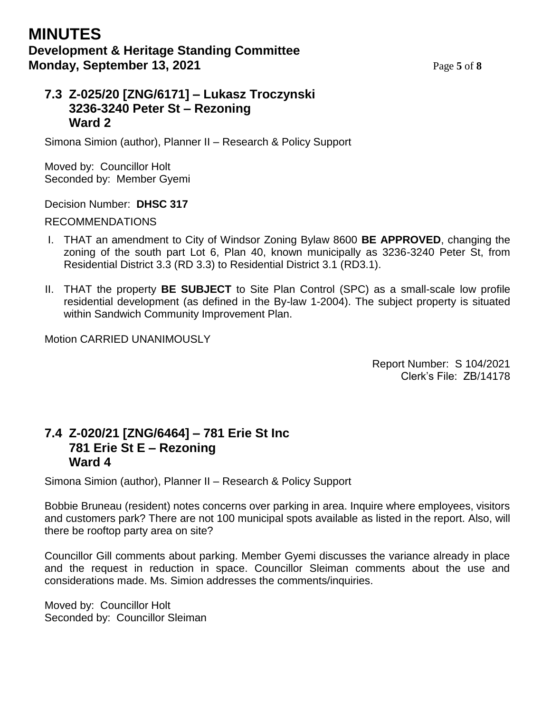## **7.3 Z-025/20 [ZNG/6171] – Lukasz Troczynski 3236-3240 Peter St – Rezoning Ward 2**

Simona Simion (author), Planner II – Research & Policy Support

Moved by: Councillor Holt Seconded by: Member Gyemi

Decision Number: **DHSC 317**

RECOMMENDATIONS

- I. THAT an amendment to City of Windsor Zoning Bylaw 8600 **BE APPROVED**, changing the zoning of the south part Lot 6, Plan 40, known municipally as 3236-3240 Peter St, from Residential District 3.3 (RD 3.3) to Residential District 3.1 (RD3.1).
- II. THAT the property **BE SUBJECT** to Site Plan Control (SPC) as a small-scale low profile residential development (as defined in the By-law 1-2004). The subject property is situated within Sandwich Community Improvement Plan.

Motion CARRIED UNANIMOUSLY

Report Number: S 104/2021 Clerk's File: ZB/14178

## **7.4 Z-020/21 [ZNG/6464] – 781 Erie St Inc 781 Erie St E – Rezoning Ward 4**

Simona Simion (author), Planner II – Research & Policy Support

Bobbie Bruneau (resident) notes concerns over parking in area. Inquire where employees, visitors and customers park? There are not 100 municipal spots available as listed in the report. Also, will there be rooftop party area on site?

Councillor Gill comments about parking. Member Gyemi discusses the variance already in place and the request in reduction in space. Councillor Sleiman comments about the use and considerations made. Ms. Simion addresses the comments/inquiries.

Moved by: Councillor Holt Seconded by: Councillor Sleiman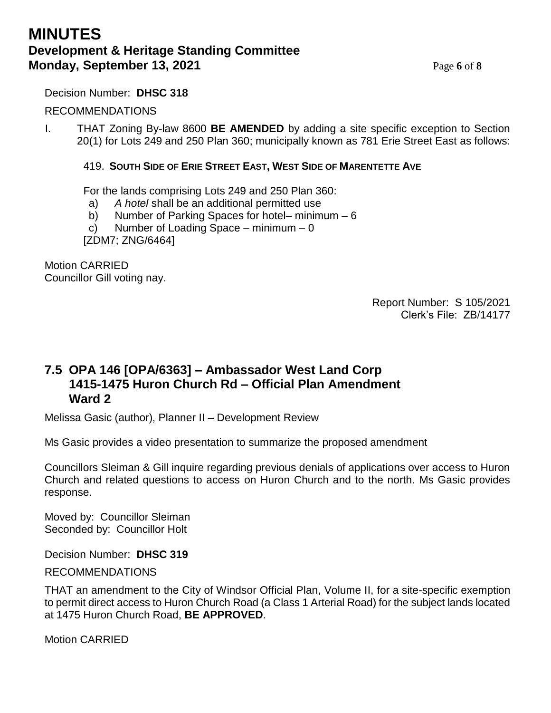# **MINUTES Development & Heritage Standing Committee Monday, September 13, 2021** Page 6 of 8

#### Decision Number: **DHSC 318**

#### RECOMMENDATIONS

I. THAT Zoning By-law 8600 **BE AMENDED** by adding a site specific exception to Section 20(1) for Lots 249 and 250 Plan 360; municipally known as 781 Erie Street East as follows:

#### 419. **SOUTH SIDE OF ERIE STREET EAST, WEST SIDE OF MARENTETTE AVE**

For the lands comprising Lots 249 and 250 Plan 360:

- a) *A hotel* shall be an additional permitted use
- b) Number of Parking Spaces for hotel– minimum 6
- c) Number of Loading Space minimum 0

[ZDM7; ZNG/6464]

Motion CARRIED Councillor Gill voting nay.

> Report Number: S 105/2021 Clerk's File: ZB/14177

## **7.5 OPA 146 [OPA/6363] – Ambassador West Land Corp 1415-1475 Huron Church Rd – Official Plan Amendment Ward 2**

Melissa Gasic (author), Planner II – Development Review

Ms Gasic provides a video presentation to summarize the proposed amendment

Councillors Sleiman & Gill inquire regarding previous denials of applications over access to Huron Church and related questions to access on Huron Church and to the north. Ms Gasic provides response.

Moved by: Councillor Sleiman Seconded by: Councillor Holt

Decision Number: **DHSC 319**

RECOMMENDATIONS

THAT an amendment to the City of Windsor Official Plan, Volume II, for a site-specific exemption to permit direct access to Huron Church Road (a Class 1 Arterial Road) for the subject lands located at 1475 Huron Church Road, **BE APPROVED**.

Motion CARRIED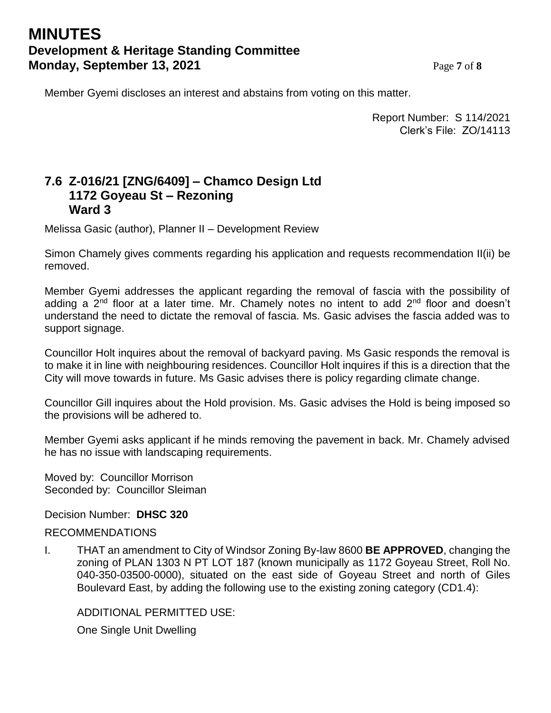# **MINUTES Development & Heritage Standing Committee Monday, September 13, 2021** Page 7 of 8

Member Gyemi discloses an interest and abstains from voting on this matter.

Report Number: S 114/2021 Clerk's File: ZO/14113

## **7.6 Z-016/21 [ZNG/6409] – Chamco Design Ltd 1172 Goyeau St – Rezoning Ward 3**

Melissa Gasic (author), Planner II – Development Review

Simon Chamely gives comments regarding his application and requests recommendation II(ii) be removed.

Member Gyemi addresses the applicant regarding the removal of fascia with the possibility of adding a  $2<sup>nd</sup>$  floor at a later time. Mr. Chamely notes no intent to add  $2<sup>nd</sup>$  floor and doesn't understand the need to dictate the removal of fascia. Ms. Gasic advises the fascia added was to support signage.

Councillor Holt inquires about the removal of backyard paving. Ms Gasic responds the removal is to make it in line with neighbouring residences. Councillor Holt inquires if this is a direction that the City will move towards in future. Ms Gasic advises there is policy regarding climate change.

Councillor Gill inquires about the Hold provision. Ms. Gasic advises the Hold is being imposed so the provisions will be adhered to.

Member Gyemi asks applicant if he minds removing the pavement in back. Mr. Chamely advised he has no issue with landscaping requirements.

Moved by: Councillor Morrison Seconded by: Councillor Sleiman

Decision Number: **DHSC 320**

#### RECOMMENDATIONS

I. THAT an amendment to City of Windsor Zoning By-law 8600 **BE APPROVED**, changing the zoning of PLAN 1303 N PT LOT 187 (known municipally as 1172 Goyeau Street, Roll No. 040-350-03500-0000), situated on the east side of Goyeau Street and north of Giles Boulevard East, by adding the following use to the existing zoning category (CD1.4):

ADDITIONAL PERMITTED USE:

One Single Unit Dwelling